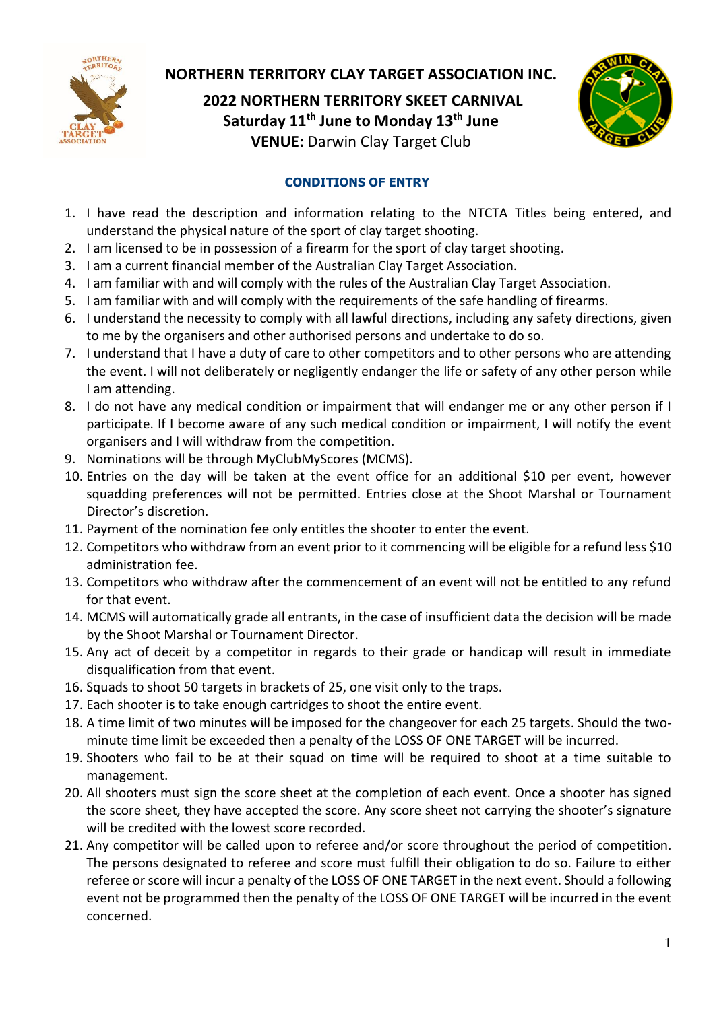

## **NORTHERN TERRITORY CLAY TARGET ASSOCIATION INC.**

**2022 NORTHERN TERRITORY SKEET CARNIVAL Saturday 11 th June to Monday 13 th June VENUE:** Darwin Clay Target Club



## **CONDITIONS OF ENTRY**

- 1. I have read the description and information relating to the NTCTA Titles being entered, and understand the physical nature of the sport of clay target shooting.
- 2. I am licensed to be in possession of a firearm for the sport of clay target shooting.
- 3. I am a current financial member of the Australian Clay Target Association.
- 4. I am familiar with and will comply with the rules of the Australian Clay Target Association.
- 5. I am familiar with and will comply with the requirements of the safe handling of firearms.
- 6. I understand the necessity to comply with all lawful directions, including any safety directions, given to me by the organisers and other authorised persons and undertake to do so.
- 7. I understand that I have a duty of care to other competitors and to other persons who are attending the event. I will not deliberately or negligently endanger the life or safety of any other person while I am attending.
- 8. I do not have any medical condition or impairment that will endanger me or any other person if I participate. If I become aware of any such medical condition or impairment, I will notify the event organisers and I will withdraw from the competition.
- 9. Nominations will be through MyClubMyScores (MCMS).
- 10. Entries on the day will be taken at the event office for an additional \$10 per event, however squadding preferences will not be permitted. Entries close at the Shoot Marshal or Tournament Director's discretion.
- 11. Payment of the nomination fee only entitles the shooter to enter the event.
- 12. Competitors who withdraw from an event prior to it commencing will be eligible for a refund less \$10 administration fee.
- 13. Competitors who withdraw after the commencement of an event will not be entitled to any refund for that event.
- 14. MCMS will automatically grade all entrants, in the case of insufficient data the decision will be made by the Shoot Marshal or Tournament Director.
- 15. Any act of deceit by a competitor in regards to their grade or handicap will result in immediate disqualification from that event.
- 16. Squads to shoot 50 targets in brackets of 25, one visit only to the traps.
- 17. Each shooter is to take enough cartridges to shoot the entire event.
- 18. A time limit of two minutes will be imposed for the changeover for each 25 targets. Should the twominute time limit be exceeded then a penalty of the LOSS OF ONE TARGET will be incurred.
- 19. Shooters who fail to be at their squad on time will be required to shoot at a time suitable to management.
- 20. All shooters must sign the score sheet at the completion of each event. Once a shooter has signed the score sheet, they have accepted the score. Any score sheet not carrying the shooter's signature will be credited with the lowest score recorded.
- 21. Any competitor will be called upon to referee and/or score throughout the period of competition. The persons designated to referee and score must fulfill their obligation to do so. Failure to either referee or score will incur a penalty of the LOSS OF ONE TARGET in the next event. Should a following event not be programmed then the penalty of the LOSS OF ONE TARGET will be incurred in the event concerned.